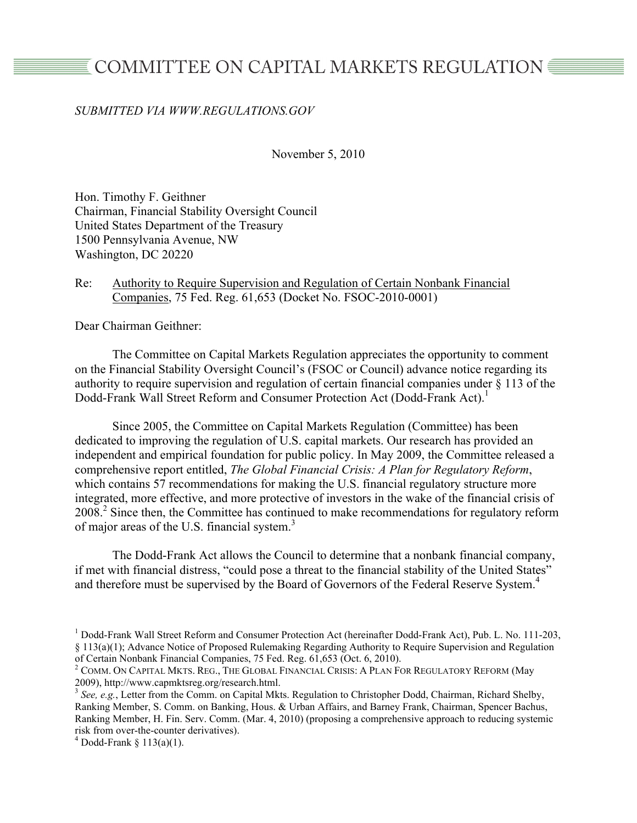# COMMITTEE ON CAPITAL MARKETS REGULATION *</u>*

## *SUBMITTED VIA WWW.REGULATIONS.GOV*

November 5, 2010

Hon. Timothy F. Geithner Chairman, Financial Stability Oversight Council United States Department of the Treasury 1500 Pennsylvania Avenue, NW Washington, DC 20220

### Re: Authority to Require Supervision and Regulation of Certain Nonbank Financial Companies, 75 Fed. Reg. 61,653 (Docket No. FSOC-2010-0001)

Dear Chairman Geithner:

The Committee on Capital Markets Regulation appreciates the opportunity to comment on the Financial Stability Oversight Council's (FSOC or Council) advance notice regarding its authority to require supervision and regulation of certain financial companies under § 113 of the Dodd-Frank Wall Street Reform and Consumer Protection Act (Dodd-Frank Act).<sup>1</sup>

Since 2005, the Committee on Capital Markets Regulation (Committee) has been dedicated to improving the regulation of U.S. capital markets. Our research has provided an independent and empirical foundation for public policy. In May 2009, the Committee released a comprehensive report entitled, *The Global Financial Crisis: A Plan for Regulatory Reform*, which contains 57 recommendations for making the U.S. financial regulatory structure more integrated, more effective, and more protective of investors in the wake of the financial crisis of 2008.<sup>2</sup> Since then, the Committee has continued to make recommendations for regulatory reform of major areas of the U.S. financial system.<sup>3</sup>

The Dodd-Frank Act allows the Council to determine that a nonbank financial company, if met with financial distress, "could pose a threat to the financial stability of the United States" and therefore must be supervised by the Board of Governors of the Federal Reserve System.<sup>4</sup>

<sup>&</sup>lt;sup>1</sup> Dodd-Frank Wall Street Reform and Consumer Protection Act (hereinafter Dodd-Frank Act), Pub. L. No. 111-203, § 113(a)(1); Advance Notice of Proposed Rulemaking Regarding Authority to Require Supervision and Regulation of Certain Nonbank Financial Companies, 75 Fed. Reg. 61,653 (Oct. 6, 2010).

 $2$  COMM. On Capital Mkts. Reg., The Global Financial Crisis: A Plan For Regulatory Reform (May 2009), http://www.capmktsreg.org/research.html. <sup>3</sup> *See, e.g.*, Letter from the Comm. on Capital Mkts. Regulation to Christopher Dodd, Chairman, Richard Shelby,

Ranking Member, S. Comm. on Banking, Hous. & Urban Affairs, and Barney Frank, Chairman, Spencer Bachus, Ranking Member, H. Fin. Serv. Comm. (Mar. 4, 2010) (proposing a comprehensive approach to reducing systemic risk from over-the-counter derivatives). <sup>4</sup>

 $4$  Dodd-Frank § 113(a)(1).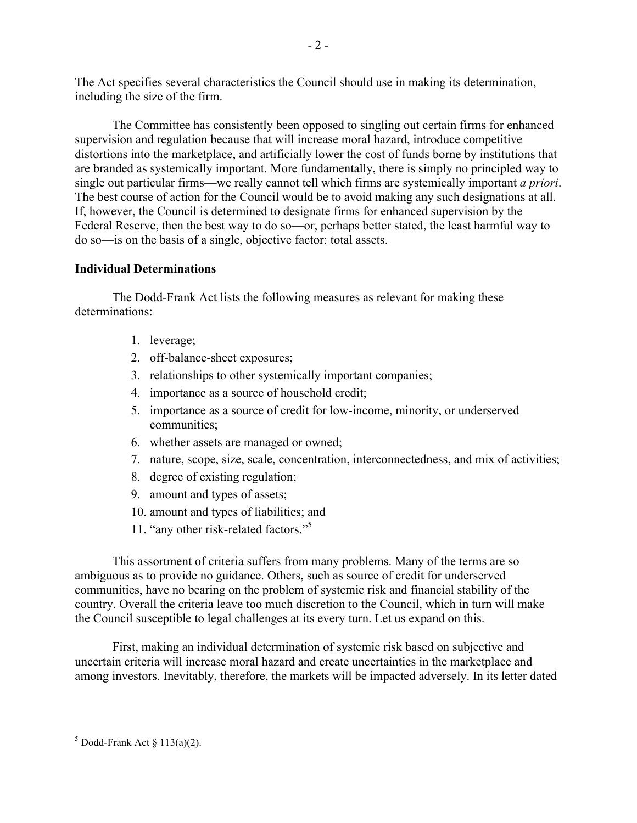The Act specifies several characteristics the Council should use in making its determination, including the size of the firm.

The Committee has consistently been opposed to singling out certain firms for enhanced supervision and regulation because that will increase moral hazard, introduce competitive distortions into the marketplace, and artificially lower the cost of funds borne by institutions that are branded as systemically important. More fundamentally, there is simply no principled way to single out particular firms—we really cannot tell which firms are systemically important *a priori*. The best course of action for the Council would be to avoid making any such designations at all. If, however, the Council is determined to designate firms for enhanced supervision by the Federal Reserve, then the best way to do so—or, perhaps better stated, the least harmful way to do so—is on the basis of a single, objective factor: total assets.

## **Individual Determinations**

The Dodd-Frank Act lists the following measures as relevant for making these determinations:

- 1. leverage;
- 2. off-balance-sheet exposures;
- 3. relationships to other systemically important companies;
- 4. importance as a source of household credit;
- 5. importance as a source of credit for low-income, minority, or underserved communities;
- 6. whether assets are managed or owned;
- 7. nature, scope, size, scale, concentration, interconnectedness, and mix of activities;
- 8. degree of existing regulation;
- 9. amount and types of assets;
- 10. amount and types of liabilities; and
- 11. "any other risk-related factors."5

This assortment of criteria suffers from many problems. Many of the terms are so ambiguous as to provide no guidance. Others, such as source of credit for underserved communities, have no bearing on the problem of systemic risk and financial stability of the country. Overall the criteria leave too much discretion to the Council, which in turn will make the Council susceptible to legal challenges at its every turn. Let us expand on this.

First, making an individual determination of systemic risk based on subjective and uncertain criteria will increase moral hazard and create uncertainties in the marketplace and among investors. Inevitably, therefore, the markets will be impacted adversely. In its letter dated

 $<sup>5</sup>$  Dodd-Frank Act § 113(a)(2).</sup>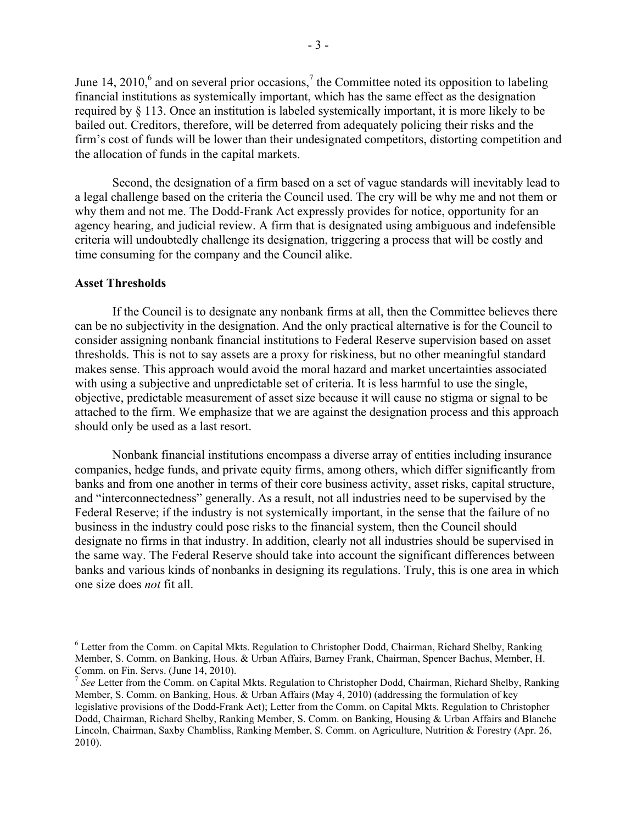June 14, 2010,<sup>6</sup> and on several prior occasions,<sup>7</sup> the Committee noted its opposition to labeling financial institutions as systemically important, which has the same effect as the designation required by § 113. Once an institution is labeled systemically important, it is more likely to be bailed out. Creditors, therefore, will be deterred from adequately policing their risks and the firm's cost of funds will be lower than their undesignated competitors, distorting competition and the allocation of funds in the capital markets.

Second, the designation of a firm based on a set of vague standards will inevitably lead to a legal challenge based on the criteria the Council used. The cry will be why me and not them or why them and not me. The Dodd-Frank Act expressly provides for notice, opportunity for an agency hearing, and judicial review. A firm that is designated using ambiguous and indefensible criteria will undoubtedly challenge its designation, triggering a process that will be costly and time consuming for the company and the Council alike.

#### **Asset Thresholds**

If the Council is to designate any nonbank firms at all, then the Committee believes there can be no subjectivity in the designation. And the only practical alternative is for the Council to consider assigning nonbank financial institutions to Federal Reserve supervision based on asset thresholds. This is not to say assets are a proxy for riskiness, but no other meaningful standard makes sense. This approach would avoid the moral hazard and market uncertainties associated with using a subjective and unpredictable set of criteria. It is less harmful to use the single, objective, predictable measurement of asset size because it will cause no stigma or signal to be attached to the firm. We emphasize that we are against the designation process and this approach should only be used as a last resort.

Nonbank financial institutions encompass a diverse array of entities including insurance companies, hedge funds, and private equity firms, among others, which differ significantly from banks and from one another in terms of their core business activity, asset risks, capital structure, and "interconnectedness" generally. As a result, not all industries need to be supervised by the Federal Reserve; if the industry is not systemically important, in the sense that the failure of no business in the industry could pose risks to the financial system, then the Council should designate no firms in that industry. In addition, clearly not all industries should be supervised in the same way. The Federal Reserve should take into account the significant differences between banks and various kinds of nonbanks in designing its regulations. Truly, this is one area in which one size does *not* fit all.

<sup>&</sup>lt;sup>6</sup> Letter from the Comm. on Capital Mkts. Regulation to Christopher Dodd, Chairman, Richard Shelby, Ranking Member, S. Comm. on Banking, Hous. & Urban Affairs, Barney Frank, Chairman, Spencer Bachus, Member, H. Comm. on Fin. Servs. (June 14, 2010).<br><sup>7</sup> *See* Letter from the Comm. on Capital Mkts. Regulation to Christopher Dodd, Chairman, Richard Shelby, Ranking

Member, S. Comm. on Banking, Hous. & Urban Affairs (May 4, 2010) (addressing the formulation of key legislative provisions of the Dodd-Frank Act); Letter from the Comm. on Capital Mkts. Regulation to Christopher Dodd, Chairman, Richard Shelby, Ranking Member, S. Comm. on Banking, Housing & Urban Affairs and Blanche Lincoln, Chairman, Saxby Chambliss, Ranking Member, S. Comm. on Agriculture, Nutrition & Forestry (Apr. 26, 2010).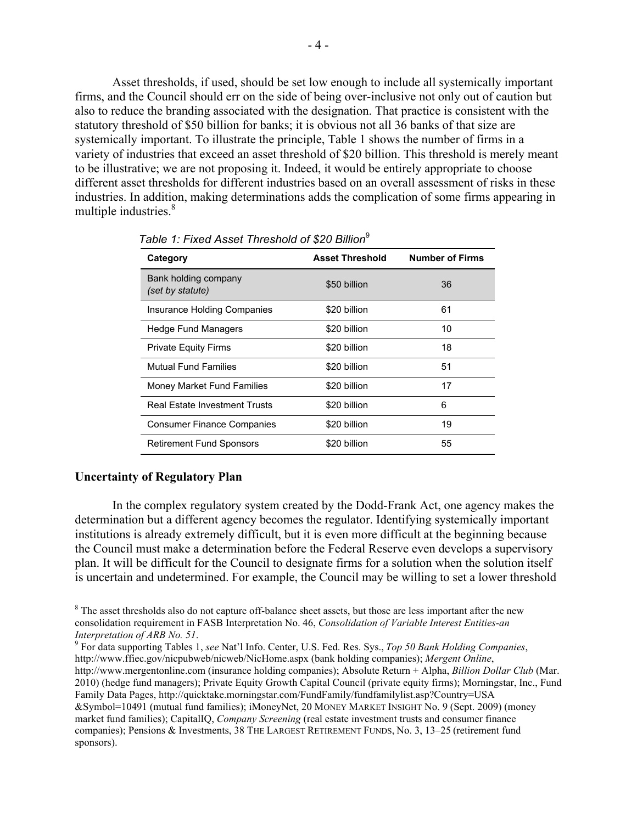Asset thresholds, if used, should be set low enough to include all systemically important firms, and the Council should err on the side of being over-inclusive not only out of caution but also to reduce the branding associated with the designation. That practice is consistent with the statutory threshold of \$50 billion for banks; it is obvious not all 36 banks of that size are systemically important. To illustrate the principle, Table 1 shows the number of firms in a variety of industries that exceed an asset threshold of \$20 billion. This threshold is merely meant to be illustrative; we are not proposing it. Indeed, it would be entirely appropriate to choose different asset thresholds for different industries based on an overall assessment of risks in these industries. In addition, making determinations adds the complication of some firms appearing in multiple industries.<sup>8</sup>

| Category                                 | <b>Asset Threshold</b> | <b>Number of Firms</b> |
|------------------------------------------|------------------------|------------------------|
| Bank holding company<br>(set by statute) | \$50 billion           | 36                     |
| <b>Insurance Holding Companies</b>       | \$20 billion           | 61                     |
| <b>Hedge Fund Managers</b>               | \$20 billion           | 10                     |
| <b>Private Equity Firms</b>              | \$20 billion           | 18                     |
| <b>Mutual Fund Families</b>              | \$20 billion           | 51                     |
| <b>Money Market Fund Families</b>        | \$20 billion           | 17                     |
| <b>Real Estate Investment Trusts</b>     | \$20 billion           | 6                      |
| <b>Consumer Finance Companies</b>        | \$20 billion           | 19                     |
| <b>Retirement Fund Sponsors</b>          | \$20 billion           | 55                     |

*Table 1: Fixed Asset Threshold of \$20 Billion*<sup>9</sup>

#### **Uncertainty of Regulatory Plan**

In the complex regulatory system created by the Dodd-Frank Act, one agency makes the determination but a different agency becomes the regulator. Identifying systemically important institutions is already extremely difficult, but it is even more difficult at the beginning because the Council must make a determination before the Federal Reserve even develops a supervisory plan. It will be difficult for the Council to designate firms for a solution when the solution itself is uncertain and undetermined. For example, the Council may be willing to set a lower threshold

 $8$  The asset thresholds also do not capture off-balance sheet assets, but those are less important after the new consolidation requirement in FASB Interpretation No. 46, *Consolidation of Variable Interest Entities-an Interpretation of ARB No. 51.* 9 And *S. 1.* 9 For data supporting Tables 1, *see* Nat'l Info. Center, U.S. Fed. Res. Sys., *Top 50 Bank Holding Companies*,

http://www.ffiec.gov/nicpubweb/nicweb/NicHome.aspx (bank holding companies); *Mergent Online*, http://www.mergentonline.com (insurance holding companies); Absolute Return + Alpha, *Billion Dollar Club* (Mar. 2010) (hedge fund managers); Private Equity Growth Capital Council (private equity firms); Morningstar, Inc., Fund Family Data Pages, http://quicktake.morningstar.com/FundFamily/fundfamilylist.asp?Country=USA &Symbol=10491 (mutual fund families); iMoneyNet, 20 MONEY MARKET INSIGHT No. 9 (Sept. 2009) (money market fund families); CapitalIQ, *Company Screening* (real estate investment trusts and consumer finance companies); Pensions & Investments, 38 THE LARGEST RETIREMENT FUNDS, No. 3, 13–25 (retirement fund sponsors).